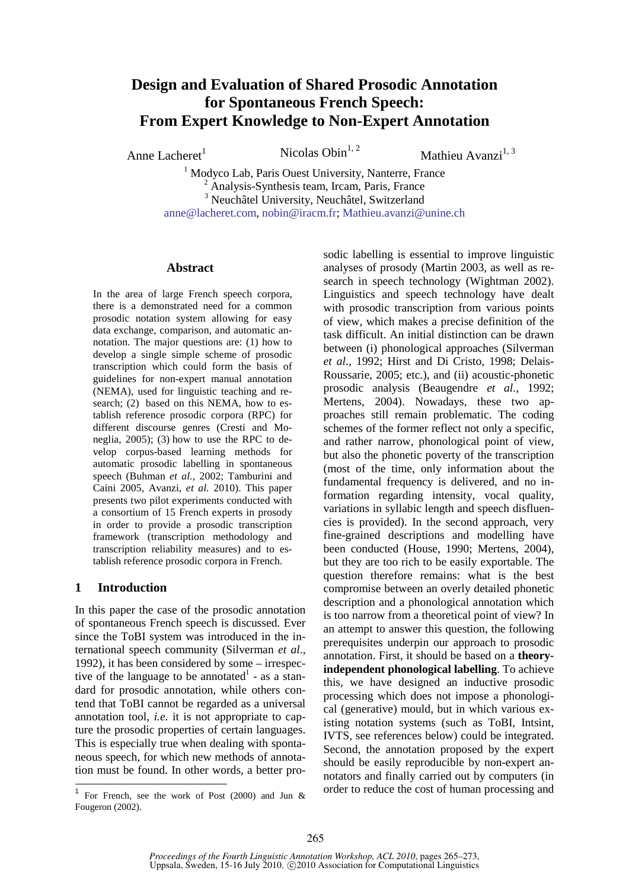# **Design and Evaluation of Shared Prosodic Annotation for Spontaneous French Speech: From Expert Knowledge to Non-Expert Annotation**

Anne Lacheret<sup>1</sup> Nicolas Obin<sup>1, 2</sup>

Mathieu Avanzi $^{1,3}$ 

<sup>1</sup> Modyco Lab, Paris Ouest University, Nanterre, France <sup>2</sup> Analysis-Synthesis team, Ircam, Paris, France <sup>3</sup> Neuchâtel University, Neuchâtel, Switzerland anne@lacheret.com, nobin@iracm.fr; Mathieu.avanzi@unine.ch

#### **Abstract**

In the area of large French speech corpora, there is a demonstrated need for a common prosodic notation system allowing for easy data exchange, comparison, and automatic annotation. The major questions are: (1) how to develop a single simple scheme of prosodic transcription which could form the basis of guidelines for non-expert manual annotation (NEMA), used for linguistic teaching and research; (2) based on this NEMA, how to establish reference prosodic corpora (RPC) for different discourse genres (Cresti and Moneglia, 2005); (3) how to use the RPC to develop corpus-based learning methods for automatic prosodic labelling in spontaneous speech (Buhman *et al.,* 2002; Tamburini and Caini 2005, Avanzi, *et al.* 2010). This paper presents two pilot experiments conducted with a consortium of 15 French experts in prosody in order to provide a prosodic transcription framework (transcription methodology and transcription reliability measures) and to establish reference prosodic corpora in French.

### **1 Introduction**

In this paper the case of the prosodic annotation of spontaneous French speech is discussed. Ever since the ToBI system was introduced in the international speech community (Silverman *et al*., 1992), it has been considered by some – irrespective of the language to be annotated $<sup>1</sup>$  - as a stan-</sup> dard for prosodic annotation, while others contend that ToBI cannot be regarded as a universal annotation tool, *i.e.* it is not appropriate to capture the prosodic properties of certain languages. This is especially true when dealing with spontaneous speech, for which new methods of annotation must be found. In other words, a better prosodic labelling is essential to improve linguistic analyses of prosody (Martin 2003, as well as research in speech technology (Wightman 2002). Linguistics and speech technology have dealt with prosodic transcription from various points of view, which makes a precise definition of the task difficult. An initial distinction can be drawn between (i) phonological approaches (Silverman *et al.,* 1992; Hirst and Di Cristo, 1998; Delais-Roussarie, 2005; etc.), and (ii) acoustic-phonetic prosodic analysis (Beaugendre *et al.*, 1992; Mertens, 2004). Nowadays, these two approaches still remain problematic. The coding schemes of the former reflect not only a specific, and rather narrow, phonological point of view, but also the phonetic poverty of the transcription (most of the time, only information about the fundamental frequency is delivered, and no information regarding intensity, vocal quality, variations in syllabic length and speech disfluencies is provided). In the second approach, very fine-grained descriptions and modelling have been conducted (House, 1990; Mertens, 2004), but they are too rich to be easily exportable. The question therefore remains: what is the best compromise between an overly detailed phonetic description and a phonological annotation which is too narrow from a theoretical point of view? In an attempt to answer this question, the following prerequisites underpin our approach to prosodic annotation. First, it should be based on a **theoryindependent phonological labelling**. To achieve this, we have designed an inductive prosodic processing which does not impose a phonological (generative) mould, but in which various existing notation systems (such as ToBI, Intsint, IVTS, see references below) could be integrated. Second, the annotation proposed by the expert should be easily reproducible by non-expert annotators and finally carried out by computers (in order to reduce the cost of human processing and

 1 For French, see the work of Post (2000) and Jun & Fougeron (2002).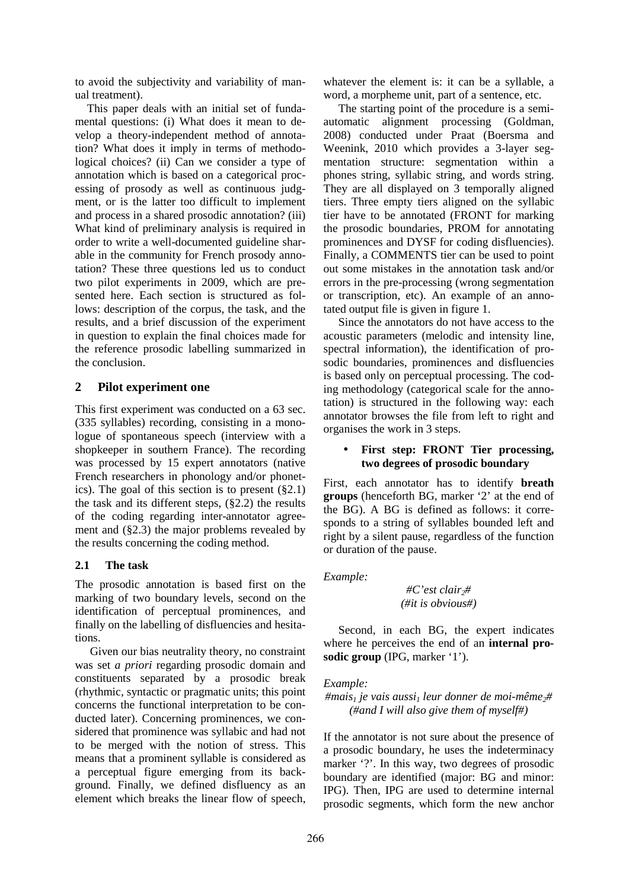to avoid the subjectivity and variability of manual treatment).

This paper deals with an initial set of fundamental questions: (i) What does it mean to develop a theory-independent method of annotation? What does it imply in terms of methodological choices? (ii) Can we consider a type of annotation which is based on a categorical processing of prosody as well as continuous judgment, or is the latter too difficult to implement and process in a shared prosodic annotation? (iii) What kind of preliminary analysis is required in order to write a well-documented guideline sharable in the community for French prosody annotation? These three questions led us to conduct two pilot experiments in 2009, which are presented here. Each section is structured as follows: description of the corpus, the task, and the results, and a brief discussion of the experiment in question to explain the final choices made for the reference prosodic labelling summarized in the conclusion.

# **2 Pilot experiment one**

This first experiment was conducted on a 63 sec. (335 syllables) recording, consisting in a monologue of spontaneous speech (interview with a shopkeeper in southern France). The recording was processed by 15 expert annotators (native French researchers in phonology and/or phonetics). The goal of this section is to present (§2.1) the task and its different steps, (§2.2) the results of the coding regarding inter-annotator agreement and (§2.3) the major problems revealed by the results concerning the coding method.

### **2.1 The task**

The prosodic annotation is based first on the marking of two boundary levels, second on the identification of perceptual prominences, and finally on the labelling of disfluencies and hesitations.

Given our bias neutrality theory, no constraint was set *a priori* regarding prosodic domain and constituents separated by a prosodic break (rhythmic, syntactic or pragmatic units; this point concerns the functional interpretation to be conducted later). Concerning prominences, we considered that prominence was syllabic and had not to be merged with the notion of stress. This means that a prominent syllable is considered as a perceptual figure emerging from its background. Finally, we defined disfluency as an element which breaks the linear flow of speech,

whatever the element is: it can be a syllable, a word, a morpheme unit, part of a sentence, etc.

The starting point of the procedure is a semiautomatic alignment processing (Goldman, 2008) conducted under Praat (Boersma and Weenink, 2010 which provides a 3-layer segmentation structure: segmentation within a phones string, syllabic string, and words string. They are all displayed on 3 temporally aligned tiers. Three empty tiers aligned on the syllabic tier have to be annotated (FRONT for marking the prosodic boundaries, PROM for annotating prominences and DYSF for coding disfluencies). Finally, a COMMENTS tier can be used to point out some mistakes in the annotation task and/or errors in the pre-processing (wrong segmentation or transcription, etc). An example of an annotated output file is given in figure 1.

Since the annotators do not have access to the acoustic parameters (melodic and intensity line, spectral information), the identification of prosodic boundaries, prominences and disfluencies is based only on perceptual processing. The coding methodology (categorical scale for the annotation) is structured in the following way: each annotator browses the file from left to right and organises the work in 3 steps.

# • **First step: FRONT Tier processing, two degrees of prosodic boundary**

First, each annotator has to identify **breath groups** (henceforth BG, marker '2' at the end of the BG). A BG is defined as follows: it corresponds to a string of syllables bounded left and right by a silent pause, regardless of the function or duration of the pause.

### *Example:*

*#C'est clair2# (#it is obvious#)* 

Second, in each BG, the expert indicates where he perceives the end of an **internal prosodic group** (IPG, marker '1').

### *Example:*

*#mais1 je vais aussi1 leur donner de moi-même2# (#and I will also give them of myself#)*

If the annotator is not sure about the presence of a prosodic boundary, he uses the indeterminacy marker '?'. In this way, two degrees of prosodic boundary are identified (major: BG and minor: IPG). Then, IPG are used to determine internal prosodic segments, which form the new anchor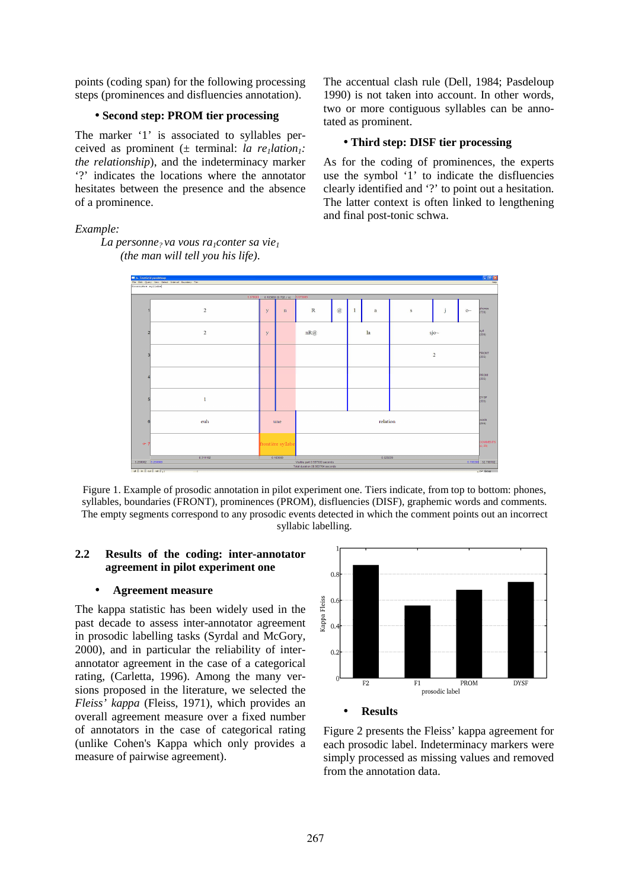points (coding span) for the following processing steps (prominences and disfluencies annotation).

### • **Second step: PROM tier processing**

The marker '1' is associated to syllables perceived as prominent (± terminal: *la re1lation1: the relationship*), and the indeterminacy marker '?' indicates the locations where the annotator hesitates between the presence and the absence of a prominence.

*Example:* 

*La personne? va vous ra1conter sa vie<sup>1</sup> (the man will tell you his life)*.

The accentual clash rule (Dell, 1984; Pasdeloup 1990) is not taken into account. In other words, two or more contiguous syllables can be annotated as prominent.

#### • **Third step: DISF tier processing**

As for the coding of prominences, the experts use the symbol '1' to indicate the disfluencies clearly identified and '?' to point out a hesitation. The latter context is often linked to lengthening and final post-tonic schwa.



Figure 1. Example of prosodic annotation in pilot experiment one. Tiers indicate, from top to bottom: phones, syllables, boundaries (FRONT), prominences (PROM), disfluencies (DISF), graphemic words and comments. The empty segments correspond to any prosodic events detected in which the comment points out an incorrect syllabic labelling.

# **2.2 Results of the coding: inter-annotator agreement in pilot experiment one**

#### • **Agreement measure**

The kappa statistic has been widely used in the past decade to assess inter-annotator agreement in prosodic labelling tasks (Syrdal and McGory, 2000), and in particular the reliability of interannotator agreement in the case of a categorical rating, (Carletta, 1996). Among the many versions proposed in the literature, we selected the *Fleiss' kappa* (Fleiss, 1971), which provides an overall agreement measure over a fixed number of annotators in the case of categorical rating (unlike Cohen's Kappa which only provides a measure of pairwise agreement).



#### • **Results**

Figure 2 presents the Fleiss' kappa agreement for each prosodic label. Indeterminacy markers were simply processed as missing values and removed from the annotation data.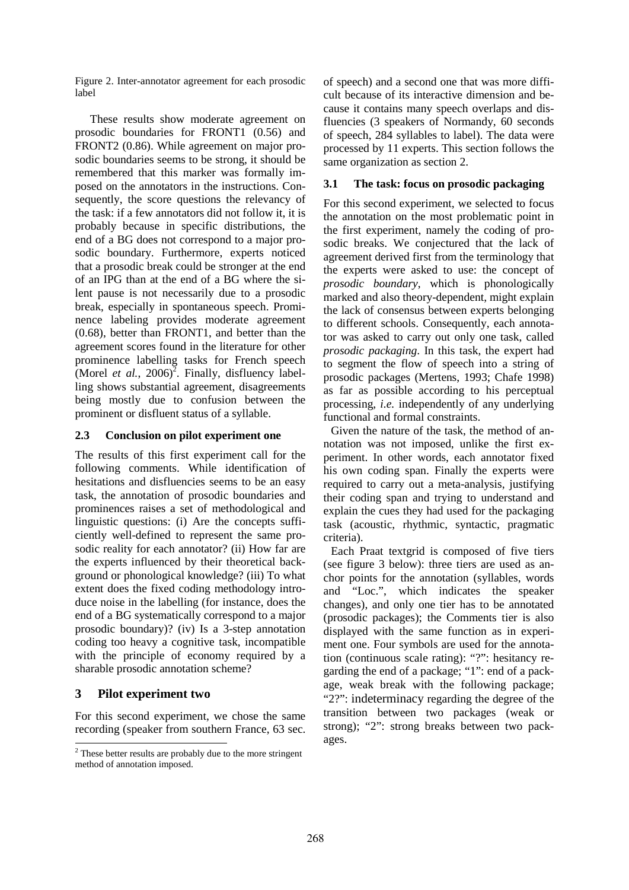Figure 2. Inter-annotator agreement for each prosodic label

These results show moderate agreement on prosodic boundaries for FRONT1 (0.56) and FRONT2 (0.86). While agreement on major prosodic boundaries seems to be strong, it should be remembered that this marker was formally imposed on the annotators in the instructions. Consequently, the score questions the relevancy of the task: if a few annotators did not follow it, it is probably because in specific distributions, the end of a BG does not correspond to a major prosodic boundary. Furthermore, experts noticed that a prosodic break could be stronger at the end of an IPG than at the end of a BG where the silent pause is not necessarily due to a prosodic break, especially in spontaneous speech. Prominence labeling provides moderate agreement (0.68), better than FRONT1, and better than the agreement scores found in the literature for other prominence labelling tasks for French speech (Morel *et al.*,  $2006$ <sup>2</sup>. Finally, disfluency labelling shows substantial agreement, disagreements being mostly due to confusion between the prominent or disfluent status of a syllable.

# **2.3 Conclusion on pilot experiment one**

The results of this first experiment call for the following comments. While identification of hesitations and disfluencies seems to be an easy task, the annotation of prosodic boundaries and prominences raises a set of methodological and linguistic questions: (i) Are the concepts sufficiently well-defined to represent the same prosodic reality for each annotator? (ii) How far are the experts influenced by their theoretical background or phonological knowledge? (iii) To what extent does the fixed coding methodology introduce noise in the labelling (for instance, does the end of a BG systematically correspond to a major prosodic boundary)? (iv) Is a 3-step annotation coding too heavy a cognitive task, incompatible with the principle of economy required by a sharable prosodic annotation scheme?

# **3 Pilot experiment two**

 $\overline{a}$ 

For this second experiment, we chose the same recording (speaker from southern France, 63 sec. of speech) and a second one that was more difficult because of its interactive dimension and because it contains many speech overlaps and disfluencies (3 speakers of Normandy, 60 seconds of speech, 284 syllables to label). The data were processed by 11 experts. This section follows the same organization as section 2.

# **3.1 The task: focus on prosodic packaging**

For this second experiment, we selected to focus the annotation on the most problematic point in the first experiment, namely the coding of prosodic breaks. We conjectured that the lack of agreement derived first from the terminology that the experts were asked to use: the concept of *prosodic boundary*, which is phonologically marked and also theory-dependent, might explain the lack of consensus between experts belonging to different schools. Consequently, each annotator was asked to carry out only one task, called *prosodic packaging*. In this task, the expert had to segment the flow of speech into a string of prosodic packages (Mertens, 1993; Chafe 1998) as far as possible according to his perceptual processing, *i.e.* independently of any underlying functional and formal constraints.

Given the nature of the task, the method of annotation was not imposed, unlike the first experiment. In other words, each annotator fixed his own coding span. Finally the experts were required to carry out a meta-analysis, justifying their coding span and trying to understand and explain the cues they had used for the packaging task (acoustic, rhythmic, syntactic, pragmatic criteria).

Each Praat textgrid is composed of five tiers (see figure 3 below): three tiers are used as anchor points for the annotation (syllables, words and "Loc.", which indicates the speaker changes), and only one tier has to be annotated (prosodic packages); the Comments tier is also displayed with the same function as in experiment one. Four symbols are used for the annotation (continuous scale rating): "?": hesitancy regarding the end of a package; "1": end of a package, weak break with the following package; "2?": indeterminacy regarding the degree of the transition between two packages (weak or strong); "2": strong breaks between two packages.

 $2$ <sup>2</sup> These better results are probably due to the more stringent method of annotation imposed.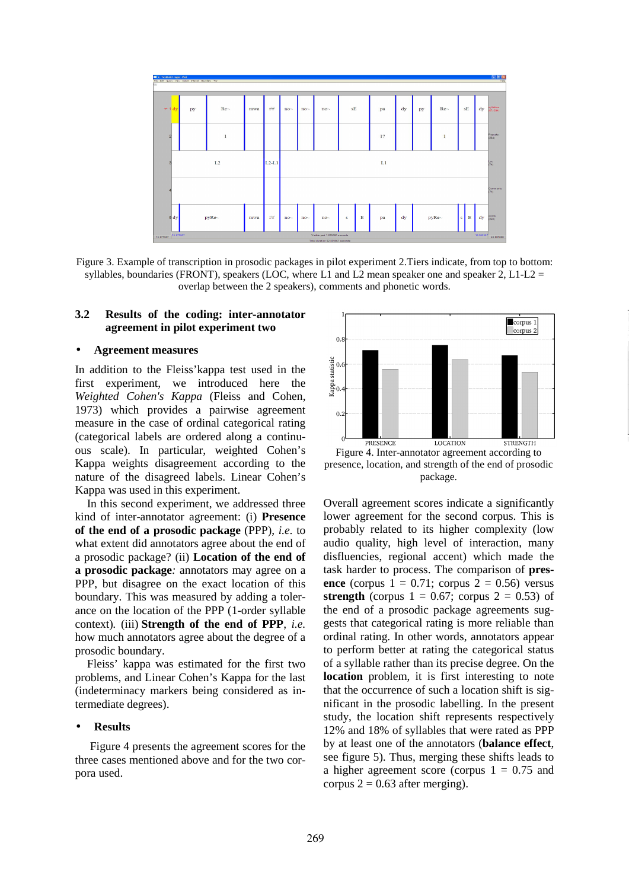

Figure 3. Example of transcription in prosodic packages in pilot experiment 2.Tiers indicate, from top to bottom: syllables, boundaries (FRONT), speakers (LOC, where L1 and L2 mean speaker one and speaker 2, L1-L2 = overlap between the 2 speakers), comments and phonetic words.

#### **3.2 Results of the coding: inter-annotator agreement in pilot experiment two**

#### • **Agreement measures**

In addition to the Fleiss'kappa test used in the first experiment, we introduced here the *Weighted Cohen's Kappa* (Fleiss and Cohen, 1973) which provides a pairwise agreement measure in the case of ordinal categorical rating (categorical labels are ordered along a continuous scale). In particular, weighted Cohen's Kappa weights disagreement according to the nature of the disagreed labels. Linear Cohen's Kappa was used in this experiment.

In this second experiment, we addressed three kind of inter-annotator agreement: (i) **Presence of the end of a prosodic package** (PPP), *i.e.* to what extent did annotators agree about the end of a prosodic package? (ii) **Location of the end of a prosodic package***:* annotators may agree on a PPP, but disagree on the exact location of this boundary. This was measured by adding a tolerance on the location of the PPP (1-order syllable context)*.* (iii) **Strength of the end of PPP**, *i.e.* how much annotators agree about the degree of a prosodic boundary.

Fleiss' kappa was estimated for the first two problems, and Linear Cohen's Kappa for the last (indeterminacy markers being considered as intermediate degrees).

#### • **Results**

Figure 4 presents the agreement scores for the three cases mentioned above and for the two corpora used.



Figure 4. Inter-annotator agreement according to presence, location, and strength of the end of prosodic package.

Overall agreement scores indicate a significantly lower agreement for the second corpus. This is probably related to its higher complexity (low audio quality, high level of interaction, many disfluencies, regional accent) which made the task harder to process. The comparison of **presence** (corpus  $1 = 0.71$ ; corpus  $2 = 0.56$ ) versus **strength** (corpus  $1 = 0.67$ ; corpus  $2 = 0.53$ ) of the end of a prosodic package agreements suggests that categorical rating is more reliable than ordinal rating. In other words, annotators appear to perform better at rating the categorical status of a syllable rather than its precise degree. On the **location** problem, it is first interesting to note that the occurrence of such a location shift is significant in the prosodic labelling. In the present study, the location shift represents respectively 12% and 18% of syllables that were rated as PPP by at least one of the annotators (**balance effect**, see figure 5). Thus, merging these shifts leads to a higher agreement score (corpus  $1 = 0.75$  and corpus  $2 = 0.63$  after merging).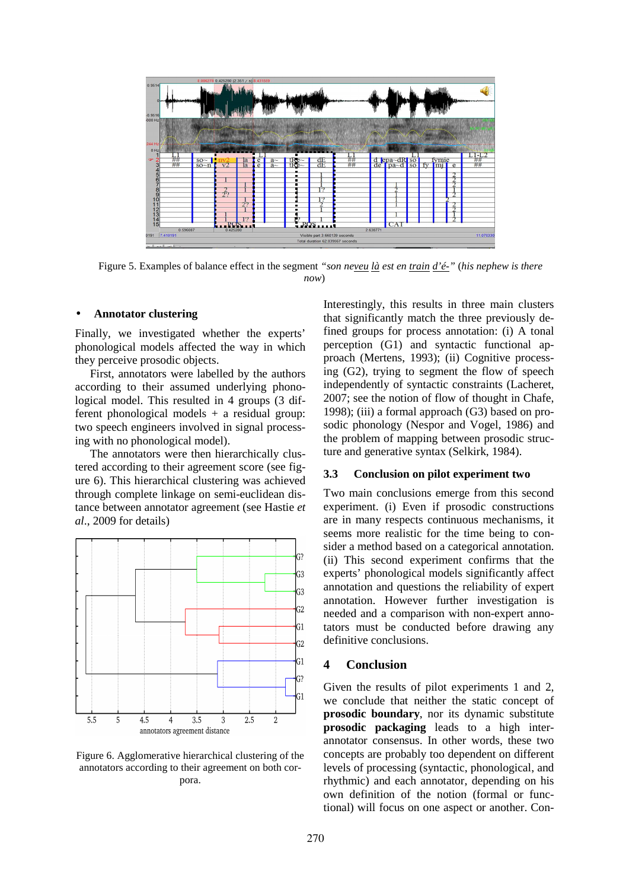

Figure 5. Examples of balance effect in the segment *"son neveu là est en train d'é-"* (*his nephew is there now*)

#### • **Annotator clustering**

Finally, we investigated whether the experts' phonological models affected the way in which they perceive prosodic objects.

First, annotators were labelled by the authors according to their assumed underlying phonological model. This resulted in 4 groups (3 different phonological models + a residual group: two speech engineers involved in signal processing with no phonological model).

The annotators were then hierarchically clustered according to their agreement score (see figure 6). This hierarchical clustering was achieved through complete linkage on semi-euclidean distance between annotator agreement (see Hastie *et al*., 2009 for details)



Figure 6. Agglomerative hierarchical clustering of the annotators according to their agreement on both corpora.

Interestingly, this results in three main clusters that significantly match the three previously defined groups for process annotation: (i) A tonal perception (G1) and syntactic functional approach (Mertens, 1993); (ii) Cognitive processing (G2), trying to segment the flow of speech independently of syntactic constraints (Lacheret, 2007; see the notion of flow of thought in Chafe, 1998); (iii) a formal approach (G3) based on prosodic phonology (Nespor and Vogel, 1986) and the problem of mapping between prosodic structure and generative syntax (Selkirk, 1984).

#### **3.3 Conclusion on pilot experiment two**

Two main conclusions emerge from this second experiment. (i) Even if prosodic constructions are in many respects continuous mechanisms, it seems more realistic for the time being to consider a method based on a categorical annotation. (ii) This second experiment confirms that the experts' phonological models significantly affect annotation and questions the reliability of expert annotation. However further investigation is needed and a comparison with non-expert annotators must be conducted before drawing any definitive conclusions.

#### **4 Conclusion**

Given the results of pilot experiments 1 and 2, we conclude that neither the static concept of **prosodic boundary**, nor its dynamic substitute **prosodic packaging** leads to a high interannotator consensus. In other words, these two concepts are probably too dependent on different levels of processing (syntactic, phonological, and rhythmic) and each annotator, depending on his own definition of the notion (formal or functional) will focus on one aspect or another. Con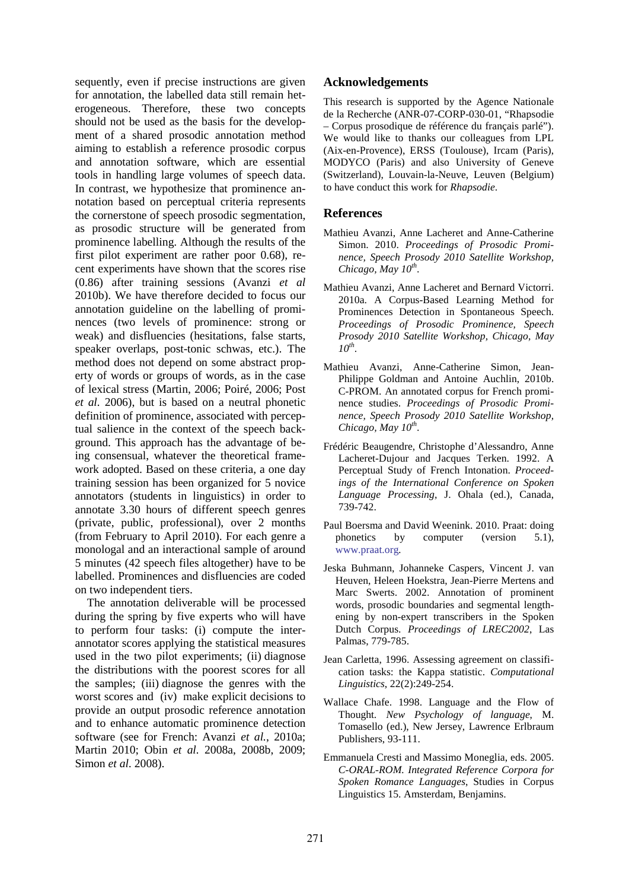sequently, even if precise instructions are given for annotation, the labelled data still remain heterogeneous. Therefore, these two concepts should not be used as the basis for the development of a shared prosodic annotation method aiming to establish a reference prosodic corpus and annotation software, which are essential tools in handling large volumes of speech data. In contrast, we hypothesize that prominence annotation based on perceptual criteria represents the cornerstone of speech prosodic segmentation, as prosodic structure will be generated from prominence labelling. Although the results of the first pilot experiment are rather poor 0.68), recent experiments have shown that the scores rise (0.86) after training sessions (Avanzi *et al* 2010b). We have therefore decided to focus our annotation guideline on the labelling of prominences (two levels of prominence: strong or weak) and disfluencies (hesitations, false starts, speaker overlaps, post-tonic schwas, etc.). The method does not depend on some abstract property of words or groups of words, as in the case of lexical stress (Martin, 2006; Poiré, 2006; Post *et al.* 2006), but is based on a neutral phonetic definition of prominence, associated with perceptual salience in the context of the speech background. This approach has the advantage of being consensual, whatever the theoretical framework adopted. Based on these criteria, a one day training session has been organized for 5 novice annotators (students in linguistics) in order to annotate 3.30 hours of different speech genres (private, public, professional), over 2 months (from February to April 2010). For each genre a monologal and an interactional sample of around 5 minutes (42 speech files altogether) have to be labelled. Prominences and disfluencies are coded on two independent tiers.

The annotation deliverable will be processed during the spring by five experts who will have to perform four tasks: (i) compute the interannotator scores applying the statistical measures used in the two pilot experiments; (ii) diagnose the distributions with the poorest scores for all the samples; (iii) diagnose the genres with the worst scores and (iv) make explicit decisions to provide an output prosodic reference annotation and to enhance automatic prominence detection software (see for French: Avanzi *et al.*, 2010a; Martin 2010; Obin *et al.* 2008a, 2008b, 2009; Simon *et al.* 2008).

# **Acknowledgements**

This research is supported by the Agence Nationale de la Recherche (ANR-07-CORP-030-01, "Rhapsodie – Corpus prosodique de référence du français parlé"). We would like to thanks our colleagues from LPL (Aix-en-Provence), ERSS (Toulouse), Ircam (Paris), MODYCO (Paris) and also University of Geneve (Switzerland), Louvain-la-Neuve, Leuven (Belgium) to have conduct this work for *Rhapsodie*.

#### **References**

- Mathieu Avanzi, Anne Lacheret and Anne-Catherine Simon. 2010. *Proceedings of Prosodic Prominence, Speech Prosody 2010 Satellite Workshop, Chicago, May 10th* .
- Mathieu Avanzi, Anne Lacheret and Bernard Victorri. 2010a. A Corpus-Based Learning Method for Prominences Detection in Spontaneous Speech. *Proceedings of Prosodic Prominence, Speech Prosody 2010 Satellite Workshop, Chicago, May 10th* .
- Mathieu Avanzi, Anne-Catherine Simon, Jean-Philippe Goldman and Antoine Auchlin, 2010b. C-PROM. An annotated corpus for French prominence studies. *Proceedings of Prosodic Prominence, Speech Prosody 2010 Satellite Workshop, Chicago, May 10th* .
- Frédéric Beaugendre, Christophe d'Alessandro, Anne Lacheret-Dujour and Jacques Terken. 1992. A Perceptual Study of French Intonation. *Proceedings of the International Conference on Spoken Language Processing*, J. Ohala (ed.), Canada, 739-742.
- Paul Boersma and David Weenink. 2010. Praat: doing phonetics by computer (version 5.1), www.praat.org*.*
- Jeska Buhmann, Johanneke Caspers, Vincent J. van Heuven, Heleen Hoekstra, Jean-Pierre Mertens and Marc Swerts. 2002. Annotation of prominent words, prosodic boundaries and segmental lengthening by non-expert transcribers in the Spoken Dutch Corpus. *Proceedings of LREC2002*, Las Palmas, 779-785.
- Jean Carletta, 1996. Assessing agreement on classification tasks: the Kappa statistic. *Computational Linguistics*, 22(2):249-254.
- Wallace Chafe. 1998. Language and the Flow of Thought. *New Psychology of language*, M. Tomasello (ed.), New Jersey, Lawrence Erlbraum Publishers, 93-111.
- Emmanuela Cresti and Massimo Moneglia, eds. 2005. *C-ORAL-ROM. Integrated Reference Corpora for Spoken Romance Languages*, Studies in Corpus Linguistics 15. Amsterdam, Benjamins.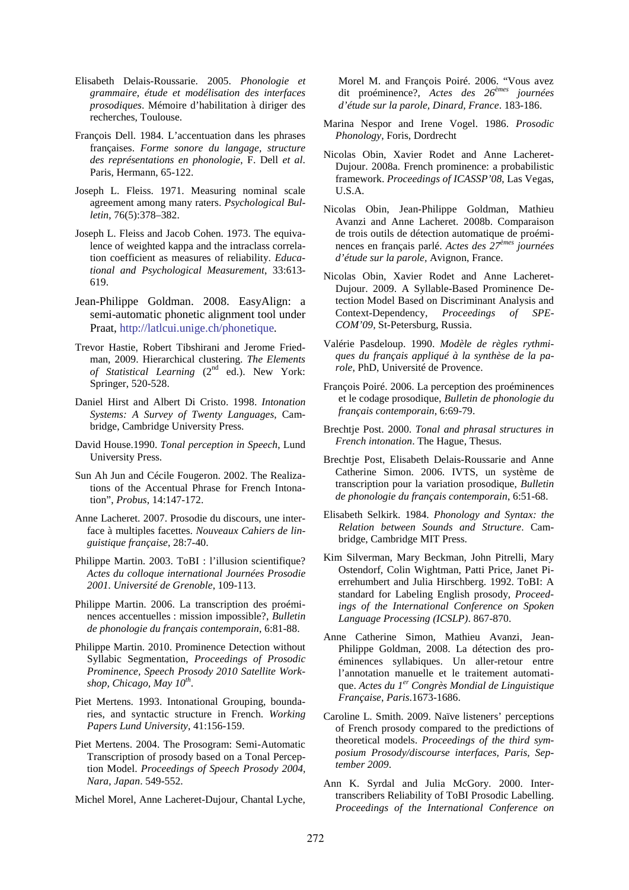- Elisabeth Delais-Roussarie. 2005. *Phonologie et grammaire, étude et modélisation des interfaces prosodiques*. Mémoire d'habilitation à diriger des recherches, Toulouse.
- François Dell. 1984. L'accentuation dans les phrases françaises. *Forme sonore du langage, structure des représentations en phonologie*, F. Dell *et al*. Paris, Hermann, 65-122.
- Joseph L. Fleiss. 1971. Measuring nominal scale agreement among many raters. *Psychological Bulletin*, 76(5):378–382.
- Joseph L. Fleiss and Jacob Cohen. 1973. The equivalence of weighted kappa and the intraclass correlation coefficient as measures of reliability. *Educational and Psychological Measurement*, 33:613- 619.
- Jean-Philippe Goldman. 2008. EasyAlign: a semi-automatic phonetic alignment tool under Praat, http://latlcui.unige.ch/phonetique*.*
- Trevor Hastie, Robert Tibshirani and Jerome Friedman, 2009. Hierarchical clustering. *The Elements of Statistical Learning* (2<sup>nd</sup> ed.). New York: Springer, 520-528.
- Daniel Hirst and Albert Di Cristo. 1998. *Intonation Systems: A Survey of Twenty Languages*, Cambridge, Cambridge University Press.
- David House.1990. *Tonal perception in Speech*, Lund University Press.
- Sun Ah Jun and Cécile Fougeron. 2002. The Realizations of the Accentual Phrase for French Intonation", *Probus*, 14:147-172.
- Anne Lacheret. 2007. Prosodie du discours, une interface à multiples facettes. *Nouveaux Cahiers de linguistique française*, 28:7-40.
- Philippe Martin. 2003. ToBI : l'illusion scientifique? *Actes du colloque international Journées Prosodie 2001. Université de Grenoble*, 109-113.
- Philippe Martin. 2006. La transcription des proéminences accentuelles : mission impossible?, *Bulletin de phonologie du français contemporain*, 6:81-88.
- Philippe Martin. 2010. Prominence Detection without Syllabic Segmentation, *Proceedings of Prosodic Prominence, Speech Prosody 2010 Satellite Workshop, Chicago, May 10th* .
- Piet Mertens. 1993. Intonational Grouping, boundaries, and syntactic structure in French. *Working Papers Lund University*, 41:156-159.
- Piet Mertens. 2004. The Prosogram: Semi-Automatic Transcription of prosody based on a Tonal Perception Model. *Proceedings of Speech Prosody 2004, Nara, Japan*. 549-552.
- Michel Morel, Anne Lacheret-Dujour, Chantal Lyche,

Morel M. and François Poiré. 2006. "Vous avez dit proéminence?, *Actes des 26èmes journées d'étude sur la parole, Dinard, France*. 183-186.

- Marina Nespor and Irene Vogel. 1986. *Prosodic Phonology*, Foris, Dordrecht
- Nicolas Obin, Xavier Rodet and Anne Lacheret-Dujour. 2008a. French prominence: a probabilistic framework. *Proceedings of ICASSP'08*, Las Vegas, U.S.A.
- Nicolas Obin, Jean-Philippe Goldman, Mathieu Avanzi and Anne Lacheret. 2008b. Comparaison de trois outils de détection automatique de proéminences en français parlé. *Actes des 27èmes journées d'étude sur la parole,* Avignon, France.
- Nicolas Obin, Xavier Rodet and Anne Lacheret-Dujour. 2009. A Syllable-Based Prominence Detection Model Based on Discriminant Analysis and Context-Dependency, *Proceedings of SPE-COM'09,* St-Petersburg, Russia.
- Valérie Pasdeloup. 1990. *Modèle de règles rythmiques du français appliqué à la synthèse de la parole*, PhD, Université de Provence.
- François Poiré. 2006. La perception des proéminences et le codage prosodique, *Bulletin de phonologie du français contemporain*, 6:69-79.
- Brechtje Post. 2000. *Tonal and phrasal structures in French intonation*. The Hague, Thesus.
- Brechtje Post, Elisabeth Delais-Roussarie and Anne Catherine Simon. 2006. IVTS, un système de transcription pour la variation prosodique, *Bulletin de phonologie du français contemporain*, 6:51-68.
- Elisabeth Selkirk. 1984. *Phonology and Syntax: the Relation between Sounds and Structure*. Cambridge, Cambridge MIT Press.
- Kim Silverman, Mary Beckman, John Pitrelli, Mary Ostendorf, Colin Wightman, Patti Price, Janet Pierrehumbert and Julia Hirschberg. 1992. ToBI: A standard for Labeling English prosody, *Proceedings of the International Conference on Spoken Language Processing (ICSLP)*. 867-870.
- Anne Catherine Simon, Mathieu Avanzi, Jean-Philippe Goldman, 2008. La détection des proéminences syllabiques. Un aller-retour entre l'annotation manuelle et le traitement automatique. *Actes du 1er Congrès Mondial de Linguistique Française*, *Paris*.1673-1686.
- Caroline L. Smith. 2009. Naïve listeners' perceptions of French prosody compared to the predictions of theoretical models. *Proceedings of the third symposium Prosody/discourse interfaces, Paris, September 2009*.
- Ann K. Syrdal and Julia McGory. 2000. Intertranscribers Reliability of ToBI Prosodic Labelling. *Proceedings of the International Conference on*